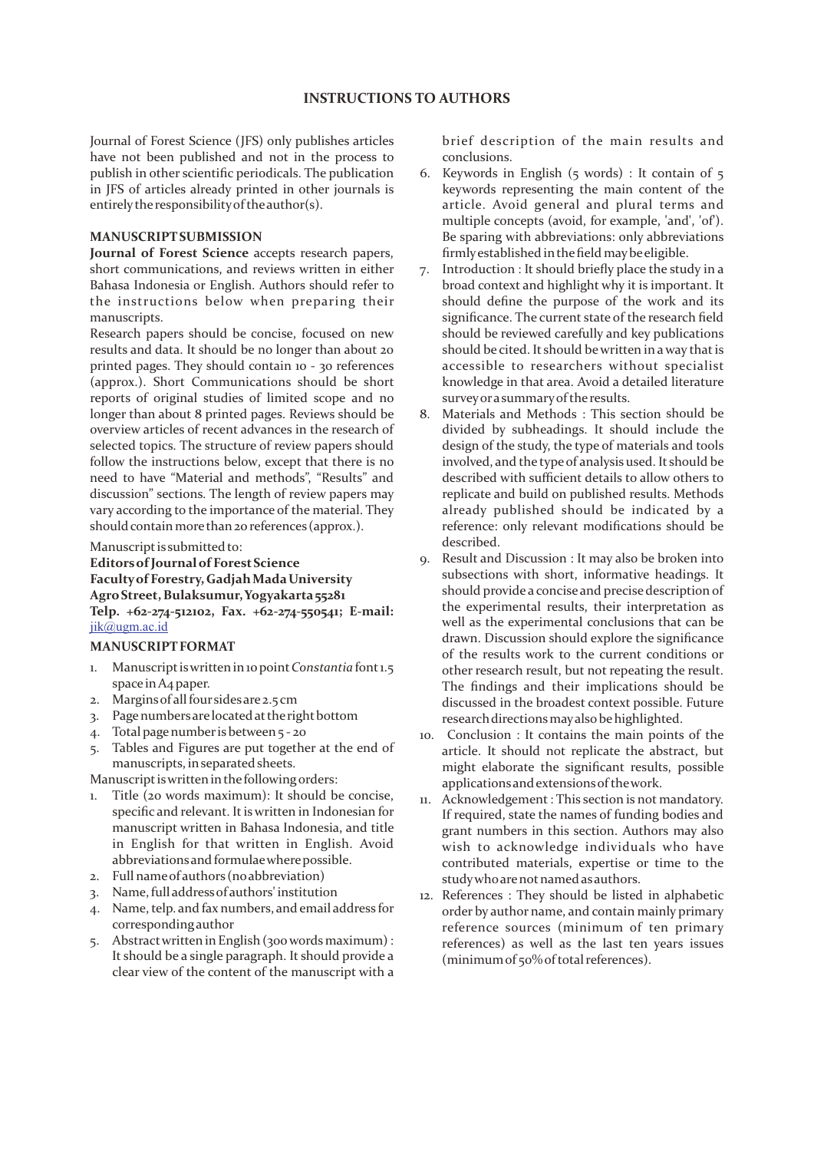# **INSTRUCTIONS TO AUTHORS**

Journal of Forest Science (JFS) only publishes articles have not been published and not in the process to publish in other scientific periodicals. The publication in JFS of articles already printed in other journals is entirely the responsibility of the author(s).

### **MANUSCRIPTSUBMISSION**

**Journal of Forest Science** accepts research papers, short communications, and reviews written in either Bahasa Indonesia or English. Authors should refer to the instructions below when preparing their manuscripts.

INSTRUCTIONS INTRUCTIONS INTRUCTIONS INTRUCTIONS IDENTIFY (INTERET (INTERFER) and properation in the process to my bis of antrois to my bis anady phonet in the process consideration of process consideration in the process Research papers should be concise, focused on new results and data. It should be no longer than about 20 printed pages. They should contain 10 - 30 references (approx.). Short Communications should be short reports of original studies of limited scope and no longer than about 8 printed pages. Reviews should be overview articles of recent advances in the research of selected topics. The structure of review papers should follow the instructions below, except that there is no need to have "Material and methods", "Results" and discussion" sections. The length of review papers may vary according to the importance of the material. They should contain more than 20 references (approx.).

### Manuscript is submitted to:

**EditorsofJournal of ForestScience Facultyof Forestry, GadjahMadaUniversity AgroStreet, Bulaksumur, Yogyakarta55281 Telp. +62-274-512102, Fax. +62-274-550541; E-mail:**  jik@ugm.ac.id

#### **MANUSCRIPTFORMAT**

- 1. Manuscriptiswrittenin10 point*Constantia* font1.5 space inA4 paper.
- 2. Marginsof all foursidesare 2.5 cm
- 3. Page numbers are located at the right bottom
- 4. Total page number is between 5 20
- 5. Tables and Figures are put together at the end of manuscripts, inseparated sheets.

Manuscript is written in the following orders:

- 1. Title (20 words maximum): It should be concise, specific and relevant. It is written in Indonesian for manuscript written in Bahasa Indonesia, and title in English for that written in English. Avoid abbreviationsand formulaewherepossible.
- 2. Full nameof authors (noabbreviation)
- 3. Name, full addressof authors' institution
- 4. Name, telp. and fax numbers, and email address for corresponding author
- 5. Abstractwritten in English (300 words maximum) : It should be a single paragraph. It should provide a clear view of the content of the manuscript with a

brief description of the main results and conclusions.

- 6. Keywords in English (5 words) : It contain of 5 keywords representing the main content of the article. Avoid general and plural terms and multiple concepts (avoid, for example, 'and', 'of'). Be sparing with abbreviations: only abbreviations firmlyestablished inthefield maybeeligible.
- 7. Introduction : It should briefly place the study in a broad context and highlight why it is important. It should define the purpose of the work and its significance. The current state of the research field should be reviewed carefully and key publications should be cited. It should be written in a way that is accessible to researchers without specialist knowledge in that area. Avoid a detailed literature surveyorasummaryoftheresults.
- 8. Materials and Methods : This section should be divided by subheadings. It should include the design of the study, the type of materials and tools involved, and the type of analysis used. It should be described with sufficient details to allow others to replicate and build on published results. Methods already published should be indicated by a reference: only relevant modifications should be described.
- 9. Result and Discussion : It may also be broken into subsections with short, informative headings. It should provide a concise and precise description of the experimental results, their interpretation as well as the experimental conclusions that can be drawn. Discussion should explore the significance of the results work to the current conditions or other research result, but not repeating the result. The findings and their implications should be discussed in the broadest context possible. Future research directions may also be highlighted.
- 10. Conclusion : It contains the main points of the article. It should not replicate the abstract, but might elaborate the significant results, possible applicationsand extensionsofthework.
- 11. Acknowledgement: This section is not mandatory. If required, state the names of funding bodies and grant numbers in this section. Authors may also wish to acknowledge individuals who have contributed materials, expertise or time to the study who are not named as authors.
- 12. References : They should be listed in alphabetic order by author name, and contain mainly primary reference sources (minimum of ten primary references) as well as the last ten years issues (minimum of 50% of total references).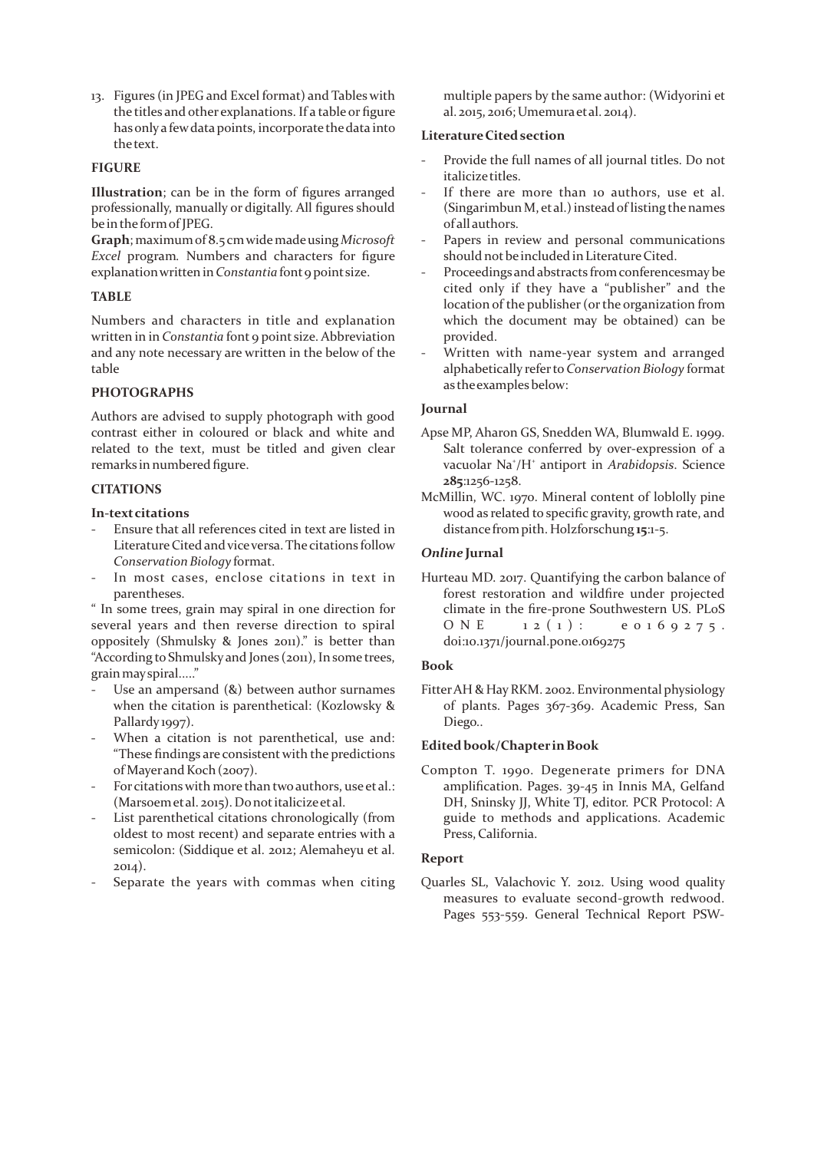13. Figures (in JPEG and Excel format) and Tables with the titles and other explanations. If a table or figure hasonlya fewdatapoints, incorporate thedata into thetext.

### **FIGURE**

**Illustration**; can be in the form of figures arranged professionally, manually or digitally. All figures should be inthe formof JPEG.

**Graph**; maximumof 8.5 cmwidemadeusing *Microsoft Excel* program*.* Numbers and characters for figure explanation written in *Constantia* font 9 point size.

### **TABLE**

Numbers and characters in title and explanation written in in *Constantia* font 9 point size. Abbreviation and any note necessary are written in the below of the table

# **PHOTOGRAPHS**

Authors are advised to supply photograph with good contrast either in coloured or black and white and related to the text, must be titled and given clear remarks in numbered figure.

# **CITATIONS**

### **In-textcitations**

- Ensure that all references cited in text are listed in Literature Cited and vice versa. The citations follow *Conservation Biology* format.
- In most cases, enclose citations in text in parentheses.

" In some trees, grain may spiral in one direction for several years and then reverse direction to spiral oppositely (Shmulsky & Jones 2011)." is better than "According to Shmulsky and Jones (2011), Insome trees, grainmayspiral....."

- Use an ampersand  $(8)$  between author surnames when the citation is parenthetical: (Kozlowsky & Pallardy 1997).
- When a citation is not parenthetical, use and: "These findings are consistent with the predictions of Mayerand Koch(2007).
- For citations with more than two authors, use et al.: (Marsoemetal. 2015). Donotitalicizeetal.
- List parenthetical citations chronologically (from oldest to most recent) and separate entries with a semicolon: (Siddique et al. 2012; Alemaheyu et al. 2014).
- Separate the years with commas when citing

multiple papers by the same author: (Widyorini et al. 2015, 2016; Umemuraetal. 2014).

### **LiteratureCited section**

- Provide the full names of all journal titles. Do not italicizetitles.
- If there are more than 10 authors, use et al.  $(Singarimbun M, et al.)$  instead of listing the names of all authors.
- Papers in review and personal communications should not be included in Literature Cited.
- Proceedings and abstracts from conferencesmay be cited only if they have a "publisher" and the location of the publisher (or the organization from which the document may be obtained) can be provided.
- Written with name-year system and arranged alphabetically referto*Conservation Biology* format as the examples below:

### **Journal**

- Apse MP, Aharon GS, Snedden WA, Blumwald E. 1999. Salt tolerance conferred by over-expression of a vacuolar Na<sup>+</sup>/H<sup>+</sup> antiport in *Arabidopsis*. Science **285**:1256-1258.
- McMillin, WC. 1970. Mineral content of loblolly pine wood as related to specific gravity, growth rate, and distance frompith. Holzforschung **15**:1-5.

### *Online* **Jurnal**

Hurteau MD. 2017. Quantifying the carbon balance of forest restoration and wildfire under projected climate in the fire-prone Southwestern US. PLoS O N E  $1 2 (1)$ : e 0 1 6 9 2 7 5. doi:10.1371/journal.pone.0169275

#### **Book**

Fitter AH & Hay RKM. 2002. Environmental physiology of plants. Pages 367-369. Academic Press, San Diego..

## **Edited book/Chapter inBook**

Compton T. 1990. Degenerate primers for DNA amplification. Pages. 39-45 in Innis MA, Gelfand DH, Sninsky JJ, White TJ, editor. PCR Protocol: A guide to methods and applications. Academic Press, California.

## **Report**

Quarles SL, Valachovic Y. 2012. Using wood quality measures to evaluate second-growth redwood. Pages 553-559. General Technical Report PSW-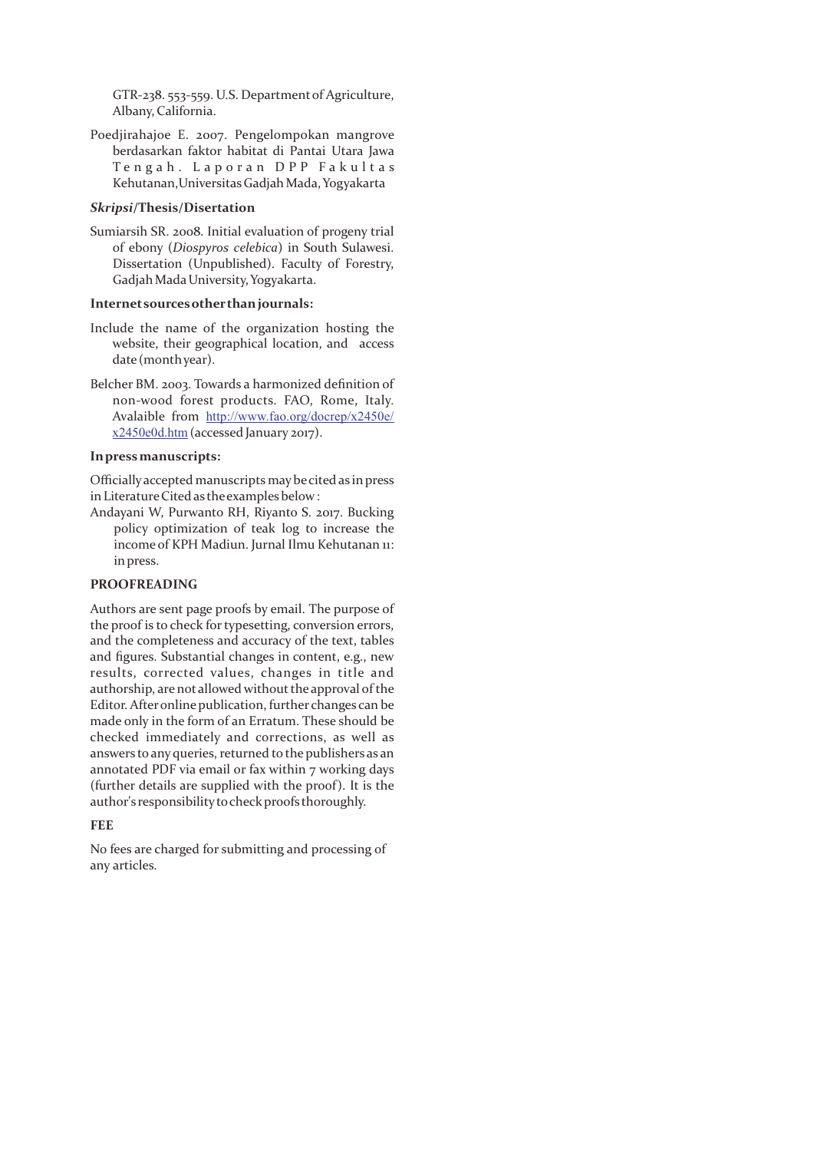GTR-238. 553-559. U.S. Departmentof Agriculture, Albany, California.

Poedjirahajoe E. 2007. Pengelompokan mangrove berdasarkan faktor habitat di Pantai Utara Jawa Tengah. Laporan DPP Fakultas Kehutanan,UniversitasGadjahMada, Yogyakarta

#### *Skripsi***/Thesis/Disertation**

Sumiarsih SR. 2008. Initial evaluation of progeny trial of ebony (*Diospyros celebica*) in South Sulawesi. Dissertation (Unpublished). Faculty of Forestry, GadjahMadaUniversity, Yogyakarta.

#### **Internetsourcesotherthanjournals:**

- Include the name of the organization hosting the website, their geographical location, and access date (monthyear).
- Belcher BM. 2003. Towards a harmonized definition of non-wood forest products. FAO, Rome, Italy. Avalaible from http://www.fao.org/docrep/x2450e/ x2450e0d.htm(accessed January 2017).

# **Inpressmanuscripts:**

Officiallyaccepted manuscripts maybecited as inpress in Literature Cited as the examples below:

Andayani W, Purwanto RH, Riyanto S. 2017. Bucking policy optimization of teak log to increase the income of KPH Madiun. Jurnal Ilmu Kehutanan 11: inpress.

# **PROOFREADING**

Authors are sent page proofs by email. The purpose of the proof is to check for typesetting, conversion errors, and the completeness and accuracy of the text, tables and figures. Substantial changes in content, e.g., new results, corrected values, changes in title and authorship, are not allowed without the approval of the Editor. Afteronline publication, further changes can be made only in the form of an Erratum. These should be checked immediately and corrections, as well as answers to any queries, returned to the publishers as an annotated PDF via email or fax within 7 working days (further details are supplied with the proof). It is the author's responsibility to check proofs thoroughly.

#### **FEE**

No fees are charged for submitting and processing of any articles.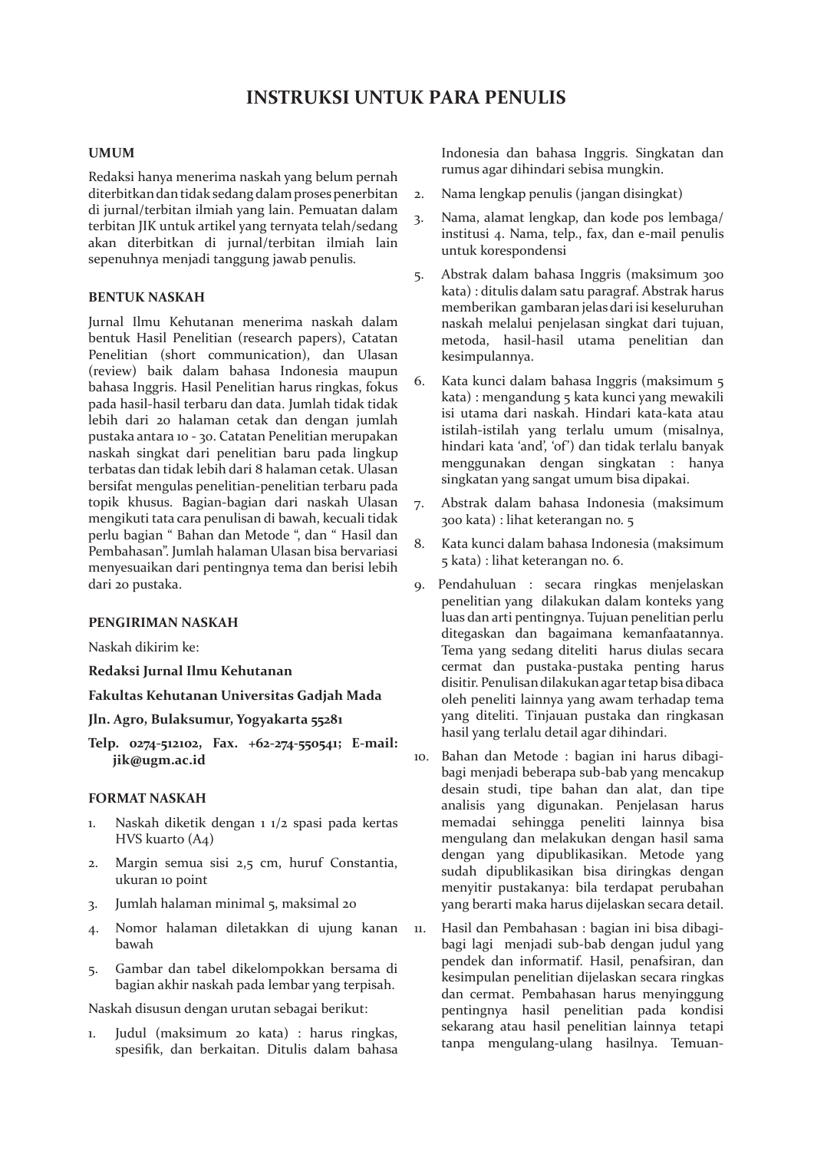# **UMUM**

Redaksi hanya menerima naskah yang belum pernah diterbitkan dan tidak sedang dalam proses penerbitan di jurnal/terbitan ilmiah yang lain. Pemuatan dalam terbitan JIK untuk artikel yang ternyata telah/sedang akan diterbitkan di jurnal/terbitan ilmiah lain sepenuhnya menjadi tanggung jawab penulis.

# **BENTUK NASKAH**

Jurnal Ilmu Kehutanan menerima naskah dalam bentuk Hasil Penelitian (research papers), Catatan Penelitian (short communication), dan Ulasan (review) baik dalam bahasa Indonesia maupun bahasa Inggris. Hasil Penelitian harus ringkas, fokus pada hasil-hasil terbaru dan data. Jumlah tidak tidak lebih dari 20 halaman cetak dan dengan jumlah pustaka antara 10 - 30. Catatan Penelitian merupakan naskah singkat dari penelitian baru pada lingkup terbatas dan tidak lebih dari 8 halaman cetak. Ulasan bersifat mengulas penelitian-penelitian terbaru pada topik khusus. Bagian-bagian dari naskah Ulasan mengikuti tata cara penulisan di bawah, kecuali tidak perlu bagian " Bahan dan Metode ", dan " Hasil dan Pembahasan". Jumlah halaman Ulasan bisa bervariasi menyesuaikan dari pentingnya tema dan berisi lebih dari 20 pustaka.

## **PENGIRIMAN NASKAH**

Naskah dikirim ke:

**Redaksi Jurnal Ilmu Kehutanan**

**Fakultas Kehutanan Universitas Gadjah Mada**

# **Jln. Agro, Bulaksumur, Yogyakarta 55281**

**Telp. 0274-512102, Fax. +62-274-550541; E-mail: jik@ugm.ac.id**

# **FORMAT NASKAH**

- 1. Naskah diketik dengan 1 1/2 spasi pada kertas HVS kuarto (A4)
- 2. Margin semua sisi 2,5 cm, huruf Constantia, ukuran 10 point
- 3. Jumlah halaman minimal 5, maksimal 20
- 4. Nomor halaman diletakkan di ujung kanan bawah
- 5. Gambar dan tabel dikelompokkan bersama di bagian akhir naskah pada lembar yang terpisah.

Naskah disusun dengan urutan sebagai berikut:

1. Judul (maksimum 20 kata) : harus ringkas, spesifik, dan berkaitan. Ditulis dalam bahasa Indonesia dan bahasa Inggris. Singkatan dan rumus agar dihindari sebisa mungkin.

- 2. Nama lengkap penulis (jangan disingkat)
- 3. Nama, alamat lengkap, dan kode pos lembaga/ institusi 4. Nama, telp., fax, dan e-mail penulis untuk korespondensi
- 5. Abstrak dalam bahasa Inggris (maksimum 300 kata) : ditulis dalam satu paragraf. Abstrak harus memberikan gambaran jelas dari isi keseluruhan naskah melalui penjelasan singkat dari tujuan, metoda, hasil-hasil utama penelitian dan kesimpulannya.
- 6. Kata kunci dalam bahasa Inggris (maksimum 5 kata) : mengandung 5 kata kunci yang mewakili isi utama dari naskah. Hindari kata-kata atau istilah-istilah yang terlalu umum (misalnya, hindari kata 'and', 'of') dan tidak terlalu banyak menggunakan dengan singkatan : hanya singkatan yang sangat umum bisa dipakai.
- 7. Abstrak dalam bahasa Indonesia (maksimum 300 kata) : lihat keterangan no. 5
- 8. Kata kunci dalam bahasa Indonesia (maksimum 5 kata) : lihat keterangan no. 6.
- 9. Pendahuluan : secara ringkas menjelaskan penelitian yang dilakukan dalam konteks yang luas dan arti pentingnya. Tujuan penelitian perlu ditegaskan dan bagaimana kemanfaatannya. Tema yang sedang diteliti harus diulas secara cermat dan pustaka-pustaka penting harus disitir. Penulisan dilakukan agar tetap bisa dibaca oleh peneliti lainnya yang awam terhadap tema yang diteliti. Tinjauan pustaka dan ringkasan hasil yang terlalu detail agar dihindari.
- 10. Bahan dan Metode : bagian ini harus dibagibagi menjadi beberapa sub-bab yang mencakup desain studi, tipe bahan dan alat, dan tipe analisis yang digunakan. Penjelasan harus memadai sehingga peneliti lainnya bisa mengulang dan melakukan dengan hasil sama dengan yang dipublikasikan. Metode yang sudah dipublikasikan bisa diringkas dengan menyitir pustakanya: bila terdapat perubahan yang berarti maka harus dijelaskan secara detail.
- 11. Hasil dan Pembahasan : bagian ini bisa dibagibagi lagi menjadi sub-bab dengan judul yang pendek dan informatif. Hasil, penafsiran, dan kesimpulan penelitian dijelaskan secara ringkas dan cermat. Pembahasan harus menyinggung pentingnya hasil penelitian pada kondisi sekarang atau hasil penelitian lainnya tetapi tanpa mengulang-ulang hasilnya. Temuan-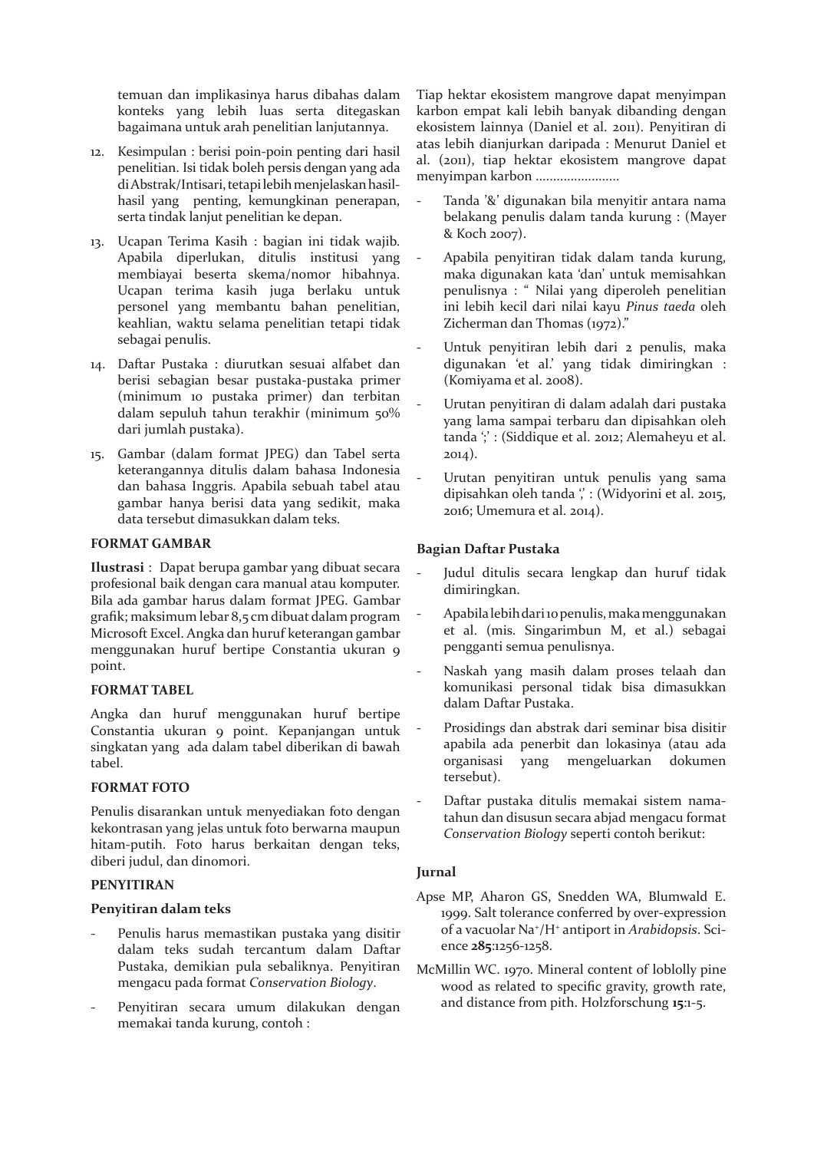temuan dan implikasinya harus dibahas dalam konteks yang lebih luas serta ditegaskan bagaimana untuk arah penelitian lanjutannya.

- 12. Kesimpulan : berisi poin-poin penting dari hasil penelitian. Isi tidak boleh persis dengan yang ada di Abstrak/Intisari, tetapi lebih menjelaskan hasilhasil yang penting, kemungkinan penerapan, serta tindak lanjut penelitian ke depan.
- 13. Ucapan Terima Kasih : bagian ini tidak wajib. Apabila diperlukan, ditulis institusi yang membiayai beserta skema/nomor hibahnya. Ucapan terima kasih juga berlaku untuk personel yang membantu bahan penelitian, keahlian, waktu selama penelitian tetapi tidak sebagai penulis.
- 14. Daftar Pustaka : diurutkan sesuai alfabet dan berisi sebagian besar pustaka-pustaka primer (minimum 10 pustaka primer) dan terbitan dalam sepuluh tahun terakhir (minimum 50% dari jumlah pustaka).
- 15. Gambar (dalam format JPEG) dan Tabel serta keterangannya ditulis dalam bahasa Indonesia dan bahasa Inggris. Apabila sebuah tabel atau gambar hanya berisi data yang sedikit, maka data tersebut dimasukkan dalam teks.

# **FORMAT GAMBAR**

**Ilustrasi** : Dapat berupa gambar yang dibuat secara profesional baik dengan cara manual atau komputer. Bila ada gambar harus dalam format JPEG. Gambar grafik; maksimum lebar 8,5 cm dibuat dalam program Microsoft Excel. Angka dan huruf keterangan gambar menggunakan huruf bertipe Constantia ukuran 9 point.

# **FORMAT TABEL**

Angka dan huruf menggunakan huruf bertipe Constantia ukuran 9 point. Kepanjangan untuk singkatan yang ada dalam tabel diberikan di bawah tabel.

# **FORMAT FOTO**

Penulis disarankan untuk menyediakan foto dengan kekontrasan yang jelas untuk foto berwarna maupun hitam-putih. Foto harus berkaitan dengan teks, diberi judul, dan dinomori.

# **PENYITIRAN**

## **Penyitiran dalam teks**

- Penulis harus memastikan pustaka yang disitir dalam teks sudah tercantum dalam Daftar Pustaka, demikian pula sebaliknya. Penyitiran mengacu pada format *Conservation Biology*.
- Penyitiran secara umum dilakukan dengan memakai tanda kurung, contoh :

Tiap hektar ekosistem mangrove dapat menyimpan karbon empat kali lebih banyak dibanding dengan ekosistem lainnya (Daniel et al. 2011). Penyitiran di atas lebih dianjurkan daripada : Menurut Daniel et al. (2011), tiap hektar ekosistem mangrove dapat menyimpan karbon ........................

- Tanda '&' digunakan bila menyitir antara nama belakang penulis dalam tanda kurung : (Mayer & Koch 2007).
- Apabila penyitiran tidak dalam tanda kurung, maka digunakan kata 'dan' untuk memisahkan penulisnya : " Nilai yang diperoleh penelitian ini lebih kecil dari nilai kayu *Pinus taeda* oleh Zicherman dan Thomas (1972)."
- Untuk penyitiran lebih dari 2 penulis, maka digunakan 'et al.' yang tidak dimiringkan : (Komiyama et al. 2008).
- Urutan penyitiran di dalam adalah dari pustaka yang lama sampai terbaru dan dipisahkan oleh tanda '; : (Siddique et al. 2012; Alemaheyu et al. 2014).
- Urutan penyitiran untuk penulis yang sama dipisahkan oleh tanda "; : (Widyorini et al. 2015, 2016; Umemura et al. 2014).

# **Bagian Daftar Pustaka**

- Judul ditulis secara lengkap dan huruf tidak dimiringkan.
- Apabila lebih dari 10 penulis, maka menggunakan et al. (mis. Singarimbun M, et al.) sebagai pengganti semua penulisnya.
- Naskah yang masih dalam proses telaah dan komunikasi personal tidak bisa dimasukkan dalam Daftar Pustaka.
- Prosidings dan abstrak dari seminar bisa disitir apabila ada penerbit dan lokasinya (atau ada organisasi yang mengeluarkan dokumen tersebut).
- Daftar pustaka ditulis memakai sistem namatahun dan disusun secara abjad mengacu format *Conservation Biology* seperti contoh berikut:

# **Jurnal**

- Apse MP, Aharon GS, Snedden WA, Blumwald E. 1999. Salt tolerance conferred by over-expression of a vacuolar Na+ /H+ antiport in *Arabidopsis*. Science **285**:1256-1258.
- McMillin WC. 1970. Mineral content of loblolly pine wood as related to specific gravity, growth rate, and distance from pith. Holzforschung **15**:1-5.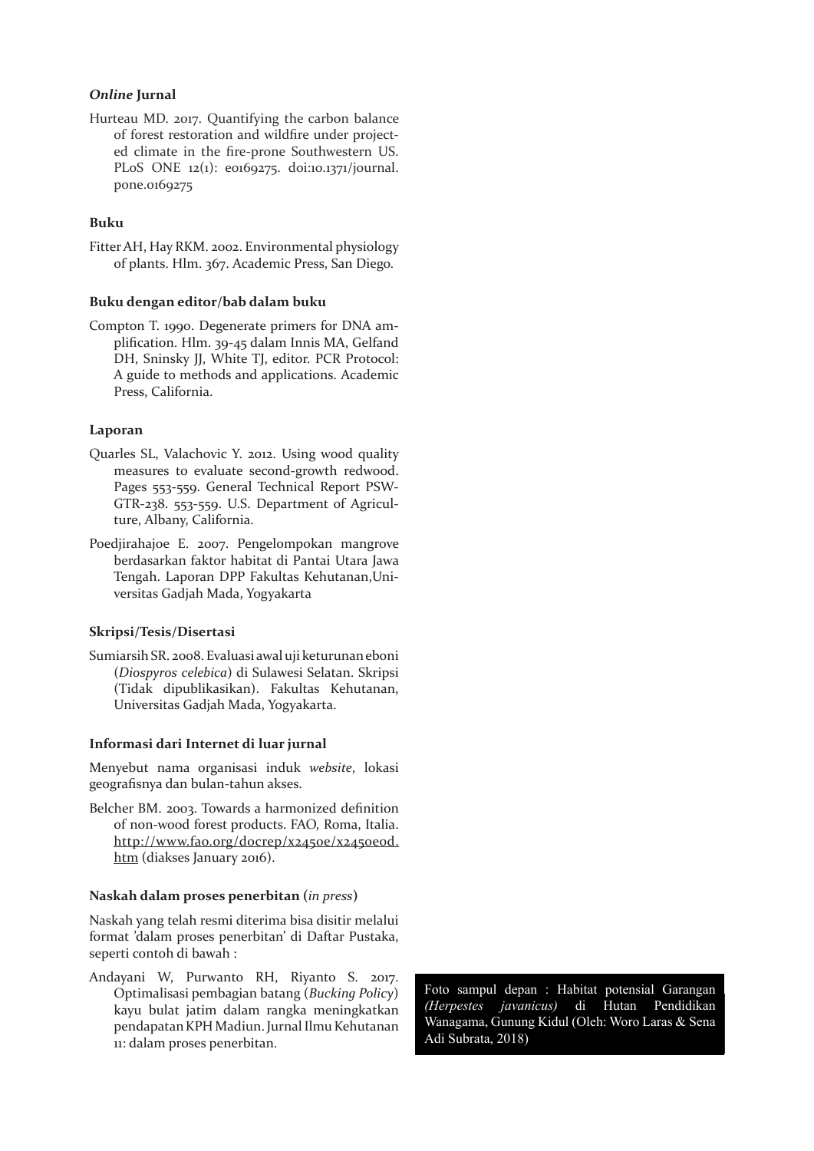## *Online* **Jurnal**

Hurteau MD. 2017. Quantifying the carbon balance of forest restoration and wildfire under projected climate in the fire-prone Southwestern US. PLoS ONE 12(1): e0169275. doi:10.1371/journal. pone.0169275

# **Buku**

Fitter AH, Hay RKM. 2002. Environmental physiology of plants. Hlm. 367. Academic Press, San Diego.

#### **Buku dengan editor/bab dalam buku**

Compton T. 1990. Degenerate primers for DNA amplification. Hlm. 39-45 dalam Innis MA, Gelfand DH, Sninsky JJ, White TJ, editor. PCR Protocol: A guide to methods and applications. Academic Press, California.

#### **Laporan**

- Quarles SL, Valachovic Y. 2012. Using wood quality measures to evaluate second-growth redwood. Pages 553-559. General Technical Report PSW-GTR-238. 553-559. U.S. Department of Agriculture, Albany, California.
- Poedjirahajoe E. 2007. Pengelompokan mangrove berdasarkan faktor habitat di Pantai Utara Jawa Tengah. Laporan DPP Fakultas Kehutanan,Universitas Gadjah Mada, Yogyakarta

#### **Skripsi/Tesis/Disertasi**

Sumiarsih SR. 2008. Evaluasi awal uji keturunan eboni (*Diospyros celebica*) di Sulawesi Selatan. Skripsi (Tidak dipublikasikan). Fakultas Kehutanan, Universitas Gadjah Mada, Yogyakarta.

#### **Informasi dari Internet di luar jurnal**

Menyebut nama organisasi induk *website*, lokasi geografisnya dan bulan-tahun akses.

Belcher BM. 2003. Towards a harmonized definition of non-wood forest products. FAO, Roma, Italia. http://www.fao.org/docrep/x2450e/x2450eod. htm (diakses January 2016).

#### **Naskah dalam proses penerbitan (***in press***)**

Naskah yang telah resmi diterima bisa disitir melalui format 'dalam proses penerbitan' di Daftar Pustaka, seperti contoh di bawah :

Andayani W, Purwanto RH, Riyanto S. 2017. Optimalisasi pembagian batang (*Bucking Policy*) kayu bulat jatim dalam rangka meningkatkan pendapatan KPH Madiun. Jurnal Ilmu Kehutanan 11: dalam proses penerbitan.

(Herpestes javanicus) di Hutan Pendidikan Wanagama, Gunung Kidul (Oleh: Woro Laras & Sena Adi Subrata, 2018) Foto sampul depan : Habitat potensial Garangan